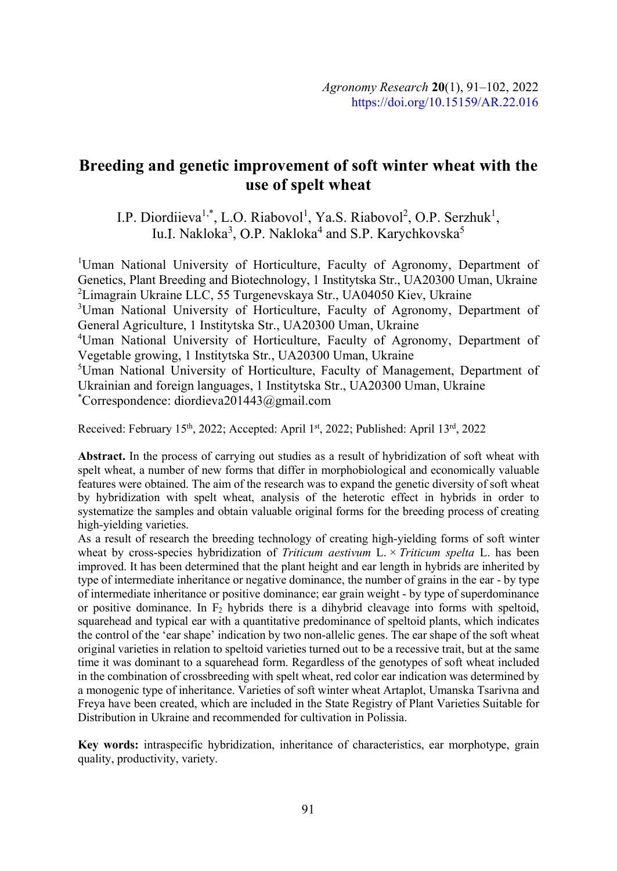# Breeding and genetic improvement of soft winter wheat with the use of spelt wheat

I.P. Diordiieva<sup>1,\*</sup>, L.O. Riabovol<sup>1</sup>, Ya.S. Riabovol<sup>2</sup>, O.P. Serzhuk<sup>1</sup>, , Iu.I. Nakloka<sup>3</sup>, O.P. Nakloka<sup>4</sup> and S.P. Karychkovska<sup>5</sup>

<sup>1</sup>Uman National University of Horticulture, Faculty of Agronomy, Department of Genetics, Plant Breeding and Biotechnology, 1 Institytska Str., UA20300 Uman, Ukraine  ${}^{2}$ Limagrain Ukraine LLC, 55 Turgenevskaya Str., UA04050 Kiev, Ukraine 3Uman National University of Horticulture, Faculty of Agronomy, Department of General Agriculture, 1 Institytska Str., UA20300 Uman, Ukraine <sup>4</sup>Uman National University of Horticulture, Faculty of Agronomy, Department of Vegetable growing, 1 Institytska Str., UA20300 Uman, Ukraine 5Uman National University of Horticulture, Faculty of Management, Department of Ukrainian and foreign languages, 1 Institytska Str., UA20300 Uman, Ukraine \*Correspondence: diordieva201443@gmail.com

Received: February 15<sup>th</sup>, 2022; Accepted: April 1<sup>st</sup>, 2022; Published: April 13<sup>rd</sup>, 2022

Abstract. In the process of carrying out studies as a result of hybridization of soft wheat with spelt wheat, a number of new forms that differ in morphobiological and economically valuable features were obtained. The aim of the research was to expand the genetic diversity of soft wheat by hybridization with spelt wheat, analysis of the heterotic effect in hybrids in order to systematize the samples and obtain valuable original forms for the breeding process of creating high-yielding varieties.

As a result of research the breeding technology of creating high-yielding forms of soft winter wheat by cross-species hybridization of Triticum aestivum  $L \times T$ riticum spelta L. has been improved. It has been determined that the plant height and ear length in hybrids are inherited by type of intermediate inheritance or negative dominance, the number of grains in the ear - by type of intermediate inheritance or positive dominance; ear grain weight - by type of superdominance or positive dominance. In  $F_2$  hybrids there is a dihybrid cleavage into forms with speltoid, squarehead and typical ear with a quantitative predominance of speltoid plants, which indicates the control of the 'ear shape' indication by two non-allelic genes. The ear shape of the soft wheat original varieties in relation to speltoid varieties turned out to be a recessive trait, but at the same time it was dominant to a squarehead form. Regardless of the genotypes of soft wheat included in the combination of crossbreeding with spelt wheat, red color ear indication was determined by a monogenic type of inheritance. Varieties of soft winter wheat Artaplot, Umanska Tsarivna and Freya have been created, which are included in the State Registry of Plant Varieties Suitable for Distribution in Ukraine and recommended for cultivation in Polissia.

Key words: intraspecific hybridization, inheritance of characteristics, ear morphotype, grain quality, productivity, variety.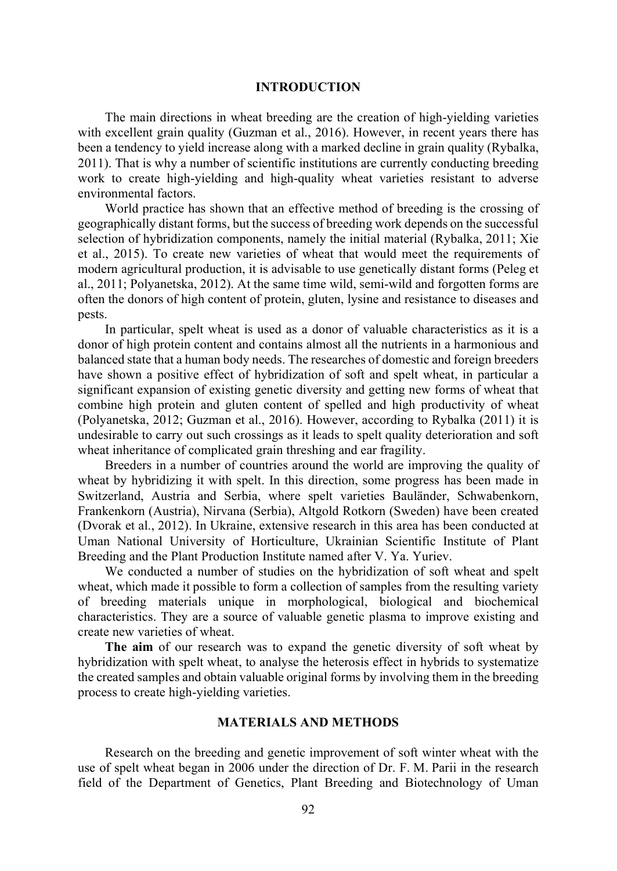#### INTRODUCTION

The main directions in wheat breeding are the creation of high-yielding varieties with excellent grain quality (Guzman et al., 2016). However, in recent years there has been a tendency to yield increase along with a marked decline in grain quality (Rybalka, 2011). That is why a number of scientific institutions are currently conducting breeding work to create high-yielding and high-quality wheat varieties resistant to adverse environmental factors.

World practice has shown that an effective method of breeding is the crossing of geographically distant forms, but the success of breeding work depends on the successful selection of hybridization components, namely the initial material (Rybalka, 2011; Xie et al., 2015). To create new varieties of wheat that would meet the requirements of modern agricultural production, it is advisable to use genetically distant forms (Peleg et al., 2011; Polyanetska, 2012). At the same time wild, semi-wild and forgotten forms are often the donors of high content of protein, gluten, lysine and resistance to diseases and pests.

In particular, spelt wheat is used as a donor of valuable characteristics as it is a donor of high protein content and contains almost all the nutrients in a harmonious and balanced state that a human body needs. The researches of domestic and foreign breeders have shown a positive effect of hybridization of soft and spelt wheat, in particular a significant expansion of existing genetic diversity and getting new forms of wheat that combine high protein and gluten content of spelled and high productivity of wheat (Polyanetska, 2012; Guzman et al., 2016). However, according to Rybalka (2011) it is undesirable to carry out such crossings as it leads to spelt quality deterioration and soft wheat inheritance of complicated grain threshing and ear fragility.

Breeders in a number of countries around the world are improving the quality of wheat by hybridizing it with spelt. In this direction, some progress has been made in Switzerland, Austria and Serbia, where spelt varieties Bauländer, Schwabenkorn, Frankenkorn (Austria), Nirvana (Serbia), Altgold Rotkorn (Sweden) have been created (Dvorak et al., 2012). In Ukraine, extensive research in this area has been conducted at Uman National University of Horticulture, Ukrainian Scientific Institute of Plant Breeding and the Plant Production Institute named after V. Ya. Yuriev.

We conducted a number of studies on the hybridization of soft wheat and spelt wheat, which made it possible to form a collection of samples from the resulting variety of breeding materials unique in morphological, biological and biochemical characteristics. They are a source of valuable genetic plasma to improve existing and create new varieties of wheat.

The aim of our research was to expand the genetic diversity of soft wheat by hybridization with spelt wheat, to analyse the heterosis effect in hybrids to systematize the created samples and obtain valuable original forms by involving them in the breeding process to create high-yielding varieties.

### MATERIALS AND METHODS

Research on the breeding and genetic improvement of soft winter wheat with the use of spelt wheat began in 2006 under the direction of Dr. F. M. Parii in the research field of the Department of Genetics, Plant Breeding and Biotechnology of Uman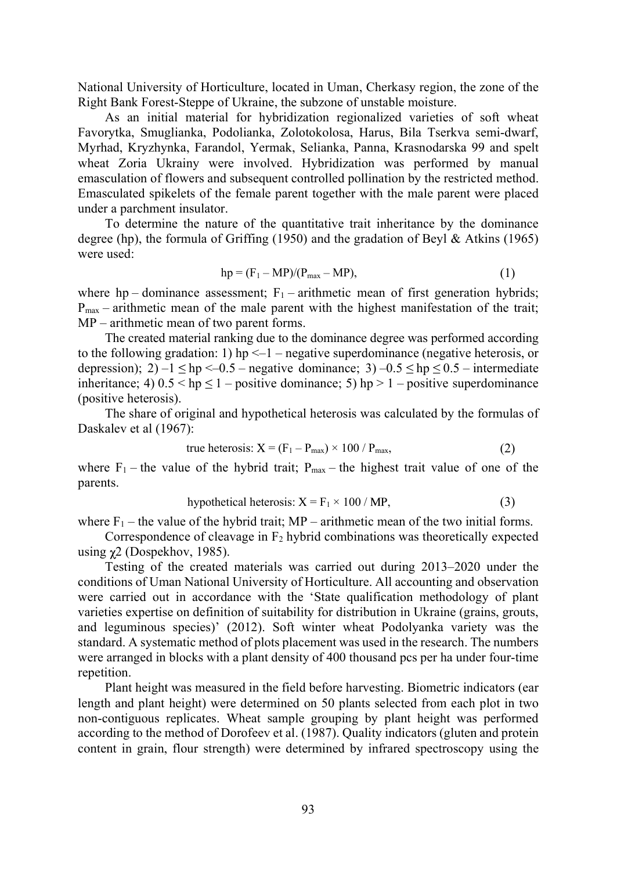National University of Horticulture, located in Uman, Cherkasy region, the zone of the Right Bank Forest-Steppe of Ukraine, the subzone of unstable moisture.

As an initial material for hybridization regionalized varieties of soft wheat Favorytka, Smuglianka, Podolianka, Zolotokolosa, Harus, Bila Tserkva semi-dwarf, Myrhad, Kryzhynka, Farandol, Yermak, Selianka, Panna, Krasnodarska 99 and spelt wheat Zoria Ukrainy were involved. Hybridization was performed by manual emasculation of flowers and subsequent controlled pollination by the restricted method. Emasculated spikelets of the female parent together with the male parent were placed under a parchment insulator.

To determine the nature of the quantitative trait inheritance by the dominance degree (hp), the formula of Griffing (1950) and the gradation of Beyl & Atkins (1965) were used:

$$
hp = (F_1 - MP)/(P_{max} - MP), \qquad (1)
$$

where hp – dominance assessment;  $F_1$  – arithmetic mean of first generation hybrids;  $P_{\text{max}}$  – arithmetic mean of the male parent with the highest manifestation of the trait;  $MP$  – arithmetic mean of two parent forms.

The created material ranking due to the dominance degree was performed according to the following gradation: 1) hp  $\leq$  -1 – negative superdominance (negative heterosis, or depression); 2)  $-1 \leq hp \leq 0.5$  – negative dominance; 3)  $-0.5 \leq hp \leq 0.5$  – intermediate inheritance; 4)  $0.5 <$  hp  $\leq 1$  – positive dominance; 5) hp  $> 1$  – positive superdominance (positive heterosis).

The share of original and hypothetical heterosis was calculated by the formulas of Daskalev et al (1967):

true heterosis: 
$$
X = (F_1 - P_{max}) \times 100 / P_{max}
$$
, (2)

where  $F_1$  – the value of the hybrid trait;  $P_{\text{max}}$  – the highest trait value of one of the parents.

hypothetical heterosis: 
$$
X = F_1 \times 100 / MP
$$
, (3)

where  $F_1$  – the value of the hybrid trait; MP – arithmetic mean of the two initial forms.

Correspondence of cleavage in  $F_2$  hybrid combinations was theoretically expected using  $\chi$ 2 (Dospekhov, 1985).

Testing of the created materials was carried out during 2013–2020 under the conditions of Uman National University of Horticulture. All accounting and observation were carried out in accordance with the State qualification methodology of plant varieties expertise on definition of suitability for distribution in Ukraine (grains, grouts, and leguminous species) (2012). Soft winter wheat Podolyanka variety was the standard. A systematic method of plots placement was used in the research. The numbers were arranged in blocks with a plant density of 400 thousand pcs per ha under four-time repetition.

Plant height was measured in the field before harvesting. Biometric indicators (ear length and plant height) were determined on 50 plants selected from each plot in two non-contiguous replicates. Wheat sample grouping by plant height was performed according to the method of Dorofeev et al. (1987). Quality indicators (gluten and protein content in grain, flour strength) were determined by infrared spectroscopy using the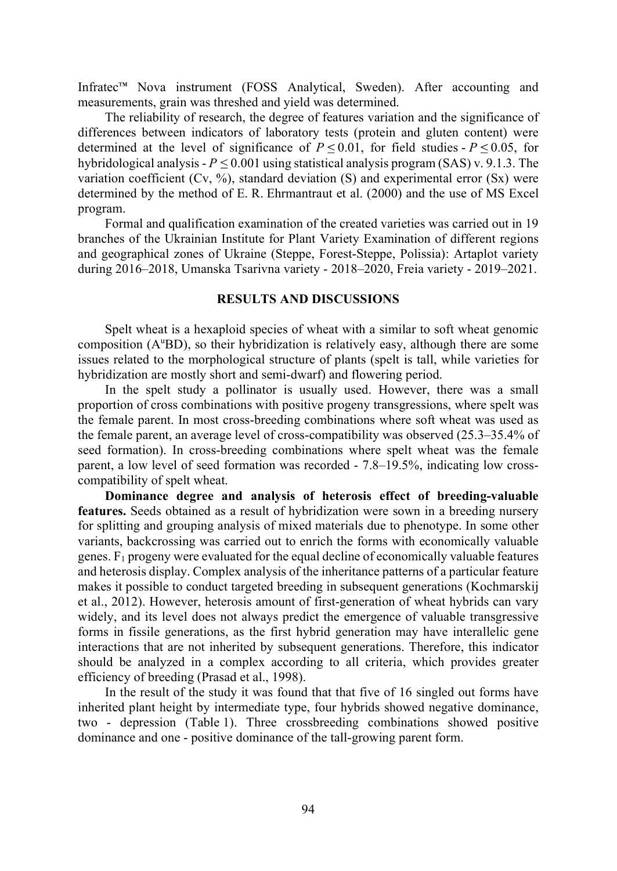Infratec<sup>™</sup> Nova instrument (FOSS Analytical, Sweden). After accounting and measurements, grain was threshed and yield was determined.

The reliability of research, the degree of features variation and the significance of differences between indicators of laboratory tests (protein and gluten content) were determined at the level of significance of  $P \le 0.01$ , for field studies -  $P \le 0.05$ , for hybridological analysis -  $P \le 0.001$  using statistical analysis program (SAS) v. 9.1.3. The variation coefficient (Cv, %), standard deviation (S) and experimental error (Sx) were determined by the method of E. R. Ehrmantraut et al. (2000) and the use of MS Excel program.

Formal and qualification examination of the created varieties was carried out in 19 branches of the Ukrainian Institute for Plant Variety Examination of different regions and geographical zones of Ukraine (Steppe, Forest-Steppe, Polissia): Artaplot variety during  $2016-2018$ , Umanska Tsarivna variety -  $2018-2020$ , Freia variety -  $2019-2021$ .

## RESULTS AND DISCUSSIONS

Spelt wheat is a hexaploid species of wheat with a similar to soft wheat genomic composition  $(A^{\mu}BD)$ , so their hybridization is relatively easy, although there are some issues related to the morphological structure of plants (spelt is tall, while varieties for hybridization are mostly short and semi-dwarf) and flowering period.

In the spelt study a pollinator is usually used. However, there was a small proportion of cross combinations with positive progeny transgressions, where spelt was the female parent. In most cross-breeding combinations where soft wheat was used as the female parent, an average level of cross-compatibility was observed  $(25.3-35.4\%$  of seed formation). In cross-breeding combinations where spelt wheat was the female parent, a low level of seed formation was recorded  $-7.8-19.5%$ , indicating low crosscompatibility of spelt wheat.

Dominance degree and analysis of heterosis effect of breeding-valuable features. Seeds obtained as a result of hybridization were sown in a breeding nursery for splitting and grouping analysis of mixed materials due to phenotype. In some other variants, backcrossing was carried out to enrich the forms with economically valuable genes.  $F_1$  progeny were evaluated for the equal decline of economically valuable features and heterosis display. Complex analysis of the inheritance patterns of a particular feature makes it possible to conduct targeted breeding in subsequent generations (Kochmarskij et al., 2012). However, heterosis amount of first-generation of wheat hybrids can vary widely, and its level does not always predict the emergence of valuable transgressive forms in fissile generations, as the first hybrid generation may have interallelic gene interactions that are not inherited by subsequent generations. Therefore, this indicator should be analyzed in a complex according to all criteria, which provides greater efficiency of breeding (Prasad et al., 1998).

In the result of the study it was found that that five of 16 singled out forms have inherited plant height by intermediate type, four hybrids showed negative dominance, two - depression (Table 1). Three crossbreeding combinations showed positive dominance and one - positive dominance of the tall-growing parent form.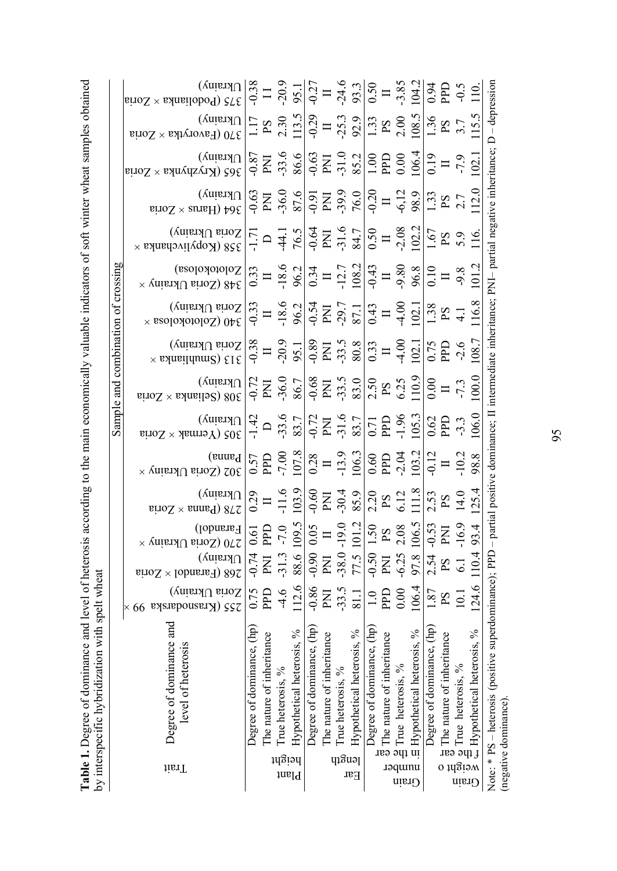| Table 1. Degree of dominance and level of heterosis according to the main economically valuable indicators of soft winter wheat samples obtained | by interspecific hybridization with spelt wheat                                                                                                                                                                                                                                                                                                                                                                                                                                                                                              |                                                                                    |                                                                                                                                                                                                                                                                                                                                                                                                                                               |                                                                                          |                                                                                       |                                                                                                                                                                                                                                                                                                                                                                                                                                        |                                                                                                                      |                                                                                         |                                                                                                   |                                                                                                    |                                                                                                                                                                                                                                                            |                                                                                                                       |                                                                                                   |                                                                                      |                                                                                                                                        |
|--------------------------------------------------------------------------------------------------------------------------------------------------|----------------------------------------------------------------------------------------------------------------------------------------------------------------------------------------------------------------------------------------------------------------------------------------------------------------------------------------------------------------------------------------------------------------------------------------------------------------------------------------------------------------------------------------------|------------------------------------------------------------------------------------|-----------------------------------------------------------------------------------------------------------------------------------------------------------------------------------------------------------------------------------------------------------------------------------------------------------------------------------------------------------------------------------------------------------------------------------------------|------------------------------------------------------------------------------------------|---------------------------------------------------------------------------------------|----------------------------------------------------------------------------------------------------------------------------------------------------------------------------------------------------------------------------------------------------------------------------------------------------------------------------------------------------------------------------------------------------------------------------------------|----------------------------------------------------------------------------------------------------------------------|-----------------------------------------------------------------------------------------|---------------------------------------------------------------------------------------------------|----------------------------------------------------------------------------------------------------|------------------------------------------------------------------------------------------------------------------------------------------------------------------------------------------------------------------------------------------------------------|-----------------------------------------------------------------------------------------------------------------------|---------------------------------------------------------------------------------------------------|--------------------------------------------------------------------------------------|----------------------------------------------------------------------------------------------------------------------------------------|
| iisiT                                                                                                                                            | Degree of dominance and<br>level of heterosis                                                                                                                                                                                                                                                                                                                                                                                                                                                                                                | (vnianJ∪ sinoS<br>$\times 66$ ву<br>sлероизвизи ) 252                              | $\begin{array}{ll} \mbox{Rianalo} & \mbox{[1]}\\ \mbox{[1]} & \mbox{[1]}\\ \mbox{[1]} & \mbox{[1]}\\ \mbox{[1]} & \mbox{[1]}\\ \mbox{[1]} & \mbox{[1]}\\ \mbox{[1]} & \mbox{[1]}\\ \mbox{[1]} & \mbox{[1]}\\ \mbox{[1]} & \mbox{[1]}\\ \mbox{[1]} & \mbox{[1]}\\ \mbox{[1]} & \mbox{[1]}\\ \mbox{[1]} & \mbox{[1]}\\ \mbox{[1]} & \mbox{[1]}\\ \mbox{[1]} & \mbox{[1]}\\ \mbox{$<br>$U$ krainy)<br>$\text{eiroX} \times \text{IoharsF}$ ) 802 | $\begin{array}{l} \text{Ukrainy)}\\ \text{278 (Panna} \times \text{Zoria}\\ \end{array}$ | $\begin{array}{ll} \rm{Pannal} \\ \rm{S} \end{array}$<br>Model ( $\rm{S} \end{array}$ | $\begin{array}{ll} \text{Unis}(\text{Vort} & \text{Unis} \rightarrow \text{Sort} \text{Cyl} \text{Cyl} \text{Cyl} \text{Cyl} \text{Cyl} \text{Cyl} \text{Cyl} \text{Cyl} \text{Cyl} \text{Cyl} \text{Cyl} \text{Cyl} \text{Cyl} \text{Cyl} \text{Cyl} \text{Cyl} \text{Cyl} \text{Cyl} \text{Cyl} \text{Cyl} \text{Cyl} \text{Cyl} \text{Cyl} \text{Cyl} \text{Cyl} \text{Cyl} \text{Cyl} \text{Cyl} \text{Cyl} \text{Cyl} \text{Cyl}$ | Sample and combination of crossing<br>$\begin{array}{ll} \text{Ukrainy)}\\ \text{208 (Seliank < Zoria)} \end{array}$ | $\times$ salasildum $\ge$ 818 (yaiszl $\cup$ sito $\Sigma$                              | (vnianJ∪ siroS<br>$340$ (Zolotokolosa $\times$                                                    | $\begin{array}{l} \displaystyle \text{Zolototolo} \\ \text{248 (Zorial Uktainy}\times \end{array}$ | $\begin{array}{l} \begin{array}{c} \text{X} \\ \text{X} \end{array} \end{array} \begin{array}{l} \begin{array}{c} \text{X} \\ \text{X} \end{array} \end{array} \begin{array}{l} \begin{array}{c} \text{X} \\ \text{X} \end{array} \end{array} \end{array}$ | $U$ krainy)<br>$\mathop{\mathsf{eiroZ}}\nolimits \times \mathop{\mathsf{sumH}}\nolimits$ 496                          | $\begin{array}{l} \mathrm{Ukrainy)}\\ \mathrm{365\ (Kryzhyrka}\times\mathrm{Zoria}\\ \end{array}$ | $\begin{array}{ll} \text{Unisin)}\\ \text{Unisin)}\\ \text{Conver} \end{array}$      | $\begin{array}{l} \text{Ukrainy)}\\ \text{P}(A) \text{C} \end{array} \begin{array}{ll} \text{Vtrivial} \\ \text{Vointall} \end{array}$ |
| $q_1$ ອີ $u_2$<br>มนุธีเอนุ<br>Plant<br>Ear                                                                                                      | Degree of dominance, (hp)<br>Degree of dominance, (hp)<br>Hypothetical heterosis, %<br>Hypothetical heterosis, %<br>The nature of inheritance<br>The nature of inheritance<br>True heterosis, %<br>True heterosis, %                                                                                                                                                                                                                                                                                                                         | 112.6<br>$-0.86$<br>$-33.5$<br>PPD<br>$-4.6$<br>0.75<br><b>Nd</b><br>81.1          | 88.6 109.5<br>$-38.0 - 19.0$<br>77.5 101.2<br>PPD<br>$-7.0$<br>$-0.90$ 0.05<br>$-0.74$ 0.61<br>$\equiv$<br>$-31.3$<br>ΣÄ<br><b>EXL</b>                                                                                                                                                                                                                                                                                                        | 103.9<br>$-0.60$<br>$-30.4$<br>$-11.6$<br>85.9<br>ENI<br>0.29<br>$\Box$                  | 107.8<br>$-7.00$<br>106.3<br>$-13.9$<br>PPD<br>0.28<br>0.57<br>$\Box$                 | $-33.6$<br>$-31.6$<br>$-0.72$<br>$-1.42$<br>83.7<br>$\overline{\mathrm{M}}$<br>83.7<br>$\Box$                                                                                                                                                                                                                                                                                                                                          | $-36.0$<br>$-33.5$<br>$-0.68$<br>83.0<br>$-0.72$<br>86.7<br>$\overline{\text{PN}}$<br>PNI                            | $-0.38$<br>$-20.9$<br>$-0.89$<br>$-33.5$<br>80.8<br>95.1<br>$\mathop{\rm PN}$<br>$\Box$ | $-18.6$<br>$-0.54$<br>$-0.33$<br>$-29.7$<br>96.2<br>$\overline{\text{PM}}$<br>87.1<br>$\equiv$    | $-18.6$<br>108.2<br>$-12.7$<br>0.34<br>96.2<br>0.33<br>$\blacksquare$<br>$\Box$                    | $-31.6$<br>$-0.64$<br>$-44.1$<br>76.5<br>$\mathop{\hbox{\rm EN}}\nolimits$<br>84.7<br>$-1.71$<br>$\Box$                                                                                                                                                    | $-36.0$<br>$-39.9$<br>87.6<br>76.0<br>$-0.63$<br>$-0.91$<br>$\overline{\text{PN}}\text{I}$<br>$\overline{\mathrm{E}}$ | $-33.6$<br>$-31.0$<br>$-0.63$<br>86.6<br>$-0.87$<br>85.2<br>ENI<br><b>PNI</b>                     | 113.5<br>$-0.29$<br>2.30<br>$-25.3$<br>92.9<br>1.17<br>$\overline{S}$<br>$\Box$      | $-0.38$<br>$-20.9$<br>$-24.6$<br>$-0.27$<br>95.1<br>93.3<br>$\overline{11}$<br>$\Box$                                                  |
| weight o<br>numper<br>Grain<br>Grain                                                                                                             | Note: * PS - heterosis (positive superdominance); PPD - partial positive dominance; II intermediate inheritance; PNI- partial negative inheritance; D - depression<br>Degree of dominance, (hp)<br>Degree of dominance, (hp)<br>$\frac{1}{3}$ The nature of inheritance<br>$\frac{2}{3}$ True heterosis, %<br>I. El Hypothetical heterosis, %<br>$\frac{9}{4}$ True neterosis, $\frac{9}{6}$<br>$\frac{4}{4}$ Hypothetical heterosis, $\frac{9}{6}$<br>$\frac{1}{6}$ The nature of inheritance<br>True heterosis, %<br>(negative dominance). | 124.6<br>106.4<br>PPD<br>0.00<br>1.87<br>$10.1\,$<br>$\frac{1}{10}$<br>$_{\rm{S}}$ | $-16.9$<br>97.8 106.5<br>$2.54 - 0.53$<br>$-0.50$ 1.50<br>2.08<br>110.4 93.4<br>ENI<br>$\mathbf{S}\mathbf{d}$<br>$-6.25$<br>$\overline{\mathrm{E}}$<br>$\mathbf{S} \mathbf{d}$<br>$\overline{6.1}$                                                                                                                                                                                                                                            | 125.4<br>111.8<br>14.0<br>2.20<br>6.12<br>2.53<br>PS<br>$_{\rm PS}$                      | $-2.04$<br>103.2<br>$-10.2$<br>$-0.12$<br>0.60<br><b>PPD</b><br>98.8<br>$\equiv$      | 106.0<br>$-1.96$<br>105.3<br><b>PPD</b><br>0.62<br>0.71<br><b>PPD</b><br>$-3.3$<br>95                                                                                                                                                                                                                                                                                                                                                  | 100.0<br>110.9<br>2.50<br>6.25<br>0.00<br>$-7.3$<br>$\Box$<br>$\mathbf{S} \mathbf{d}$                                | 108.7<br>$-4.00$<br>102.1<br>PPD<br>0.75<br>$-2.6$<br>0.33<br>$\Box$                    | 116.8<br>$-4.00$<br>102.1<br>1.38<br>0.43<br>$\mathbf{S}\mathbf{d}$<br>$\overline{4}.1$<br>$\Box$ | $-9.80$<br>101.2<br>$-0.43$<br>96.8<br>0.10<br>$-9.8$<br>$\Box$<br>$\Box$                          | 102.2<br>$-2.08$<br>0.50<br>1.67<br>116.<br>5.9<br>$\operatorname{S\!}{}$<br>$\Box$                                                                                                                                                                        | 112.0<br>$-0.20$<br>$-6,12$<br>98.9<br>1.33<br>$P S$<br>2.7<br>$\Box$                                                 | 106.4<br>102.1<br>$1.00\,$<br><b>PPD</b><br>0.00<br>0.19<br>$-7.9$<br>$\Box$                      | 108.5<br>115.5<br>1.36<br>2.00<br>1.33<br>$\frac{PS}{3.7}$<br>$\mathbf{S}\mathbf{d}$ | 104.2<br>$-3.85$<br>0.50<br>0.94<br><b>DPD</b><br>$-0.5$<br>110.<br>$\Box$                                                             |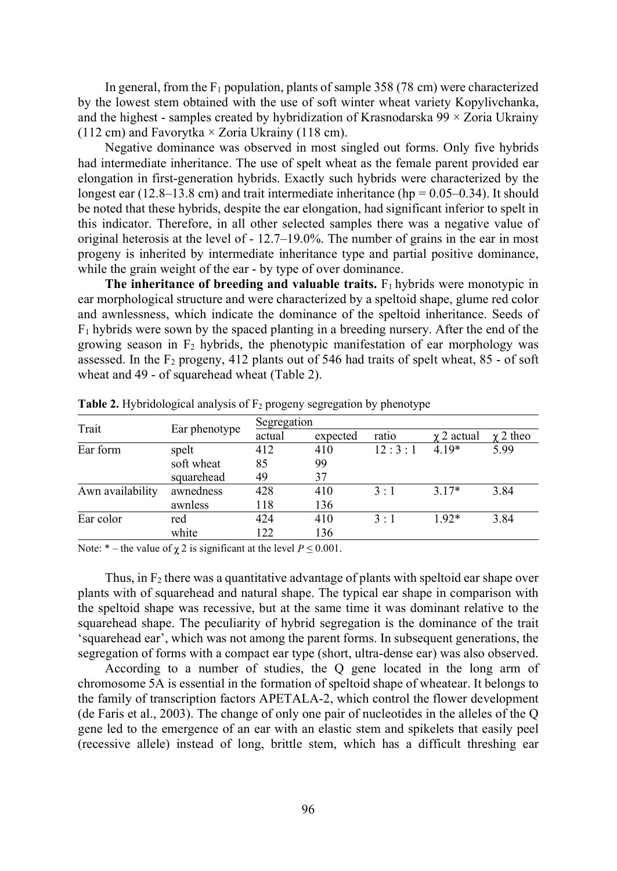In general, from the  $F_1$  population, plants of sample 358 (78 cm) were characterized by the lowest stem obtained with the use of soft winter wheat variety Kopylivchanka, and the highest - samples created by hybridization of Krasnodarska  $99 \times Z$ oria Ukrainy (112 cm) and Favorytka  $\times$  Zoria Ukrainy (118 cm).

Negative dominance was observed in most singled out forms. Only five hybrids had intermediate inheritance. The use of spelt wheat as the female parent provided ear elongation in first-generation hybrids. Exactly such hybrids were characterized by the longest ear  $(12.8-13.8 \text{ cm})$  and trait intermediate inheritance (hp = 0.05-0.34). It should be noted that these hybrids, despite the ear elongation, had significant inferior to spelt in this indicator. Therefore, in all other selected samples there was a negative value of original heterosis at the level of  $-12.7-19.0\%$ . The number of grains in the ear in most progeny is inherited by intermediate inheritance type and partial positive dominance, while the grain weight of the ear - by type of over dominance.

The inheritance of breeding and valuable traits.  $F_1$  hybrids were monotypic in ear morphological structure and were characterized by a speltoid shape, glume red color and awnlessness, which indicate the dominance of the speltoid inheritance. Seeds of  $F_1$  hybrids were sown by the spaced planting in a breeding nursery. After the end of the growing season in  $F_2$  hybrids, the phenotypic manifestation of ear morphology was assessed. In the  $F_2$  progeny, 412 plants out of 546 had traits of spelt wheat, 85 - of soft wheat and 49 - of squarehead wheat (Table 2).

| Trait            | Ear phenotype | Segregation |          |        |           |               |  |  |
|------------------|---------------|-------------|----------|--------|-----------|---------------|--|--|
|                  |               | actual      | expected | ratio  | γ2 actual | $\chi$ 2 theo |  |  |
| Ear form         | spelt         | 412         | 410      | 12:3:1 | $4.19*$   | 5.99          |  |  |
|                  | soft wheat    | 85          | 99       |        |           |               |  |  |
|                  | squarehead    | 49          | 37       |        |           |               |  |  |
| Awn availability | awnedness     | 428         | 410      | 3:1    | $3.17*$   | 3.84          |  |  |
|                  | awnless       | 118         | 136      |        |           |               |  |  |
| Ear color        | red           | 424         | 410      | 3:1    | $1.92*$   | 3.84          |  |  |
|                  | white         | 122         | 136      |        |           |               |  |  |

**Table 2.** Hybridological analysis of  $F_2$  progeny segregation by phenotype

Note:  $*$  – the value of  $\chi$  2 is significant at the level  $P \le 0.001$ .

Thus, in  $F_2$  there was a quantitative advantage of plants with speltoid ear shape over plants with of squarehead and natural shape. The typical ear shape in comparison with the speltoid shape was recessive, but at the same time it was dominant relative to the squarehead shape. The peculiarity of hybrid segregation is the dominance of the trait 'squarehead ear', which was not among the parent forms. In subsequent generations, the segregation of forms with a compact ear type (short, ultra-dense ear) was also observed.

According to a number of studies, the Q gene located in the long arm of chromosome 5A is essential in the formation of speltoid shape of wheatear. It belongs to the family of transcription factors APETALA-2, which control the flower development (de Faris et al., 2003). The change of only one pair of nucleotides in the alleles of the Q gene led to the emergence of an ear with an elastic stem and spikelets that easily peel (recessive allele) instead of long, brittle stem, which has a difficult threshing ear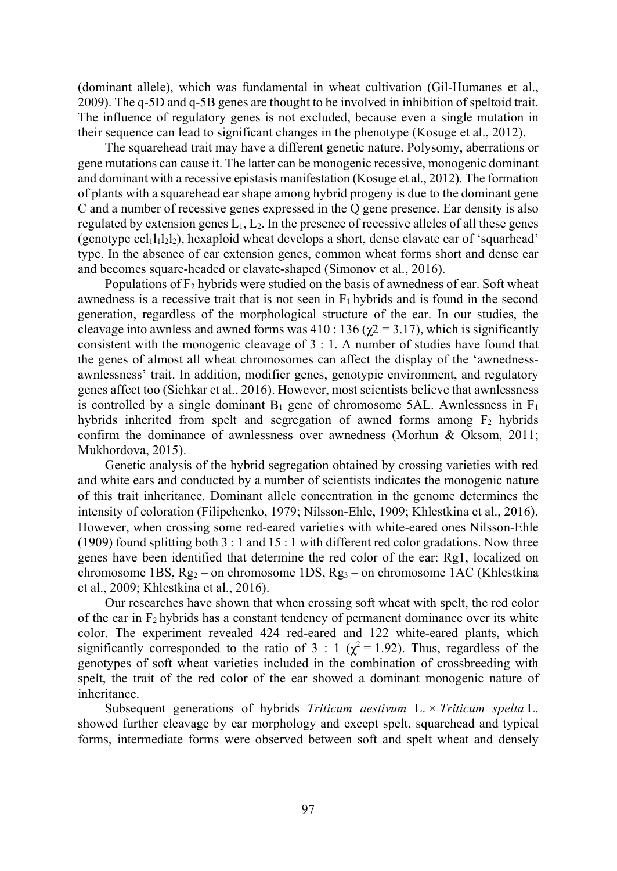(dominant allele), which was fundamental in wheat cultivation (Gil-Humanes et al., 2009). The q-5D and q-5B genes are thought to be involved in inhibition of speltoid trait. The influence of regulatory genes is not excluded, because even a single mutation in their sequence can lead to significant changes in the phenotype (Kosuge et al., 2012).

The squarehead trait may have a different genetic nature. Polysomy, aberrations or gene mutations can cause it. The latter can be monogenic recessive, monogenic dominant and dominant with a recessive epistasis manifestation (Kosuge et al., 2012). The formation of plants with a squarehead ear shape among hybrid progeny is due to the dominant gene C and a number of recessive genes expressed in the Q gene presence. Ear density is also regulated by extension genes  $L_1, L_2$ . In the presence of recessive alleles of all these genes (genotype ccl $1_11_21_2$ ), hexaploid wheat develops a short, dense clavate ear of 'squarhead' type. In the absence of ear extension genes, common wheat forms short and dense ear and becomes square-headed or clavate-shaped (Simonov et al., 2016).

Populations of  $F_2$  hybrids were studied on the basis of awnedness of ear. Soft wheat awnedness is a recessive trait that is not seen in  $F_1$  hybrids and is found in the second generation, regardless of the morphological structure of the ear. In our studies, the cleavage into awnless and awned forms was  $410 : 136 (\gamma_2 = 3.17)$ , which is significantly consistent with the monogenic cleavage of 3 : 1. A number of studies have found that the genes of almost all wheat chromosomes can affect the display of the 'awnednessawnlessness' trait. In addition, modifier genes, genotypic environment, and regulatory genes affect too (Sichkar et al., 2016). However, most scientists believe that awnlessness is controlled by a single dominant  $B_1$  gene of chromosome 5AL. Awnlessness in  $F_1$ hybrids inherited from spelt and segregation of awned forms among  $F_2$  hybrids confirm the dominance of awnlessness over awnedness (Morhun & Oksom, 2011; Mukhordova, 2015).

Genetic analysis of the hybrid segregation obtained by crossing varieties with red and white ears and conducted by a number of scientists indicates the monogenic nature of this trait inheritance. Dominant allele concentration in the genome determines the intensity of coloration (Filipchenko, 1979; Nilsson-Ehle, 1909; Khlestkina et al., 2016). However, when crossing some red-eared varieties with white-eared ones Nilsson-Ehle  $(1909)$  found splitting both  $3:1$  and  $15:1$  with different red color gradations. Now three genes have been identified that determine the red color of the ear: Rg1, localized on chromosome 1BS,  $Rg_2$  – on chromosome 1DS,  $Rg_3$  – on chromosome 1AC (Khlestkina et al., 2009; Khlestkina et al., 2016).

Our researches have shown that when crossing soft wheat with spelt, the red color of the ear in  $F_2$  hybrids has a constant tendency of permanent dominance over its white color. The experiment revealed 424 red-eared and 122 white-eared plants, which significantly corresponded to the ratio of 3 : 1 ( $\chi^2$  = 1.92). Thus, regardless of the genotypes of soft wheat varieties included in the combination of crossbreeding with spelt, the trait of the red color of the ear showed a dominant monogenic nature of inheritance.

Subsequent generations of hybrids Triticum aestivum  $L \times T$ riticum spelta L. showed further cleavage by ear morphology and except spelt, squarehead and typical forms, intermediate forms were observed between soft and spelt wheat and densely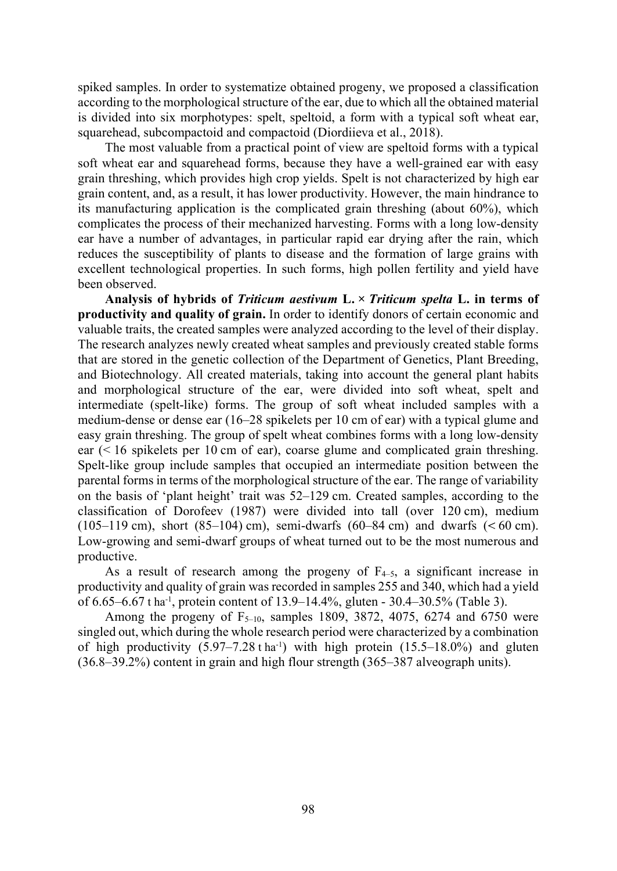spiked samples. In order to systematize obtained progeny, we proposed a classification according to the morphological structure of the ear, due to which all the obtained material is divided into six morphotypes: spelt, speltoid, a form with a typical soft wheat ear, squarehead, subcompactoid and compactoid (Diordiieva et al., 2018).

The most valuable from a practical point of view are speltoid forms with a typical soft wheat ear and squarehead forms, because they have a well-grained ear with easy grain threshing, which provides high crop yields. Spelt is not characterized by high ear grain content, and, as a result, it has lower productivity. However, the main hindrance to its manufacturing application is the complicated grain threshing (about 60%), which complicates the process of their mechanized harvesting. Forms with a long low-density ear have a number of advantages, in particular rapid ear drying after the rain, which reduces the susceptibility of plants to disease and the formation of large grains with excellent technological properties. In such forms, high pollen fertility and yield have been observed.

Analysis of hybrids of Triticum aestivum  $L \times T$ riticum spelta L. in terms of productivity and quality of grain. In order to identify donors of certain economic and valuable traits, the created samples were analyzed according to the level of their display. The research analyzes newly created wheat samples and previously created stable forms that are stored in the genetic collection of the Department of Genetics, Plant Breeding, and Biotechnology. All created materials, taking into account the general plant habits and morphological structure of the ear, were divided into soft wheat, spelt and intermediate (spelt-like) forms. The group of soft wheat included samples with a medium-dense or dense ear (1628 spikelets per 10 cm of ear) with a typical glume and easy grain threshing. The group of spelt wheat combines forms with a long low-density ear (< 16 spikelets per 10 cm of ear), coarse glume and complicated grain threshing. Spelt-like group include samples that occupied an intermediate position between the parental forms in terms of the morphological structure of the ear. The range of variability on the basis of 'plant height' trait was  $52-129$  cm. Created samples, according to the classification of Dorofeev (1987) were divided into tall (over 120 cm), medium  $(105-119 \text{ cm})$ , short  $(85-104) \text{ cm}$ , semi-dwarfs  $(60-84 \text{ cm})$  and dwarfs  $(< 60 \text{ cm})$ . Low-growing and semi-dwarf groups of wheat turned out to be the most numerous and productive.

As a result of research among the progeny of  $F_{4-5}$ , a significant increase in productivity and quality of grain was recorded in samples 255 and 340, which had a yield of 6.65–6.67 t ha<sup>-1</sup>, protein content of 13.9–14.4%, gluten - 30.4–30.5% (Table 3).

Among the progeny of  $F_{5-10}$ , samples 1809, 3872, 4075, 6274 and 6750 were singled out, which during the whole research period were characterized by a combination of high productivity  $(5.97-7.28 \text{ tha}^{-1})$  with high protein  $(15.5-18.0\%)$  and gluten  $(36.8-39.2%)$  content in grain and high flour strength  $(365-387)$  alveograph units).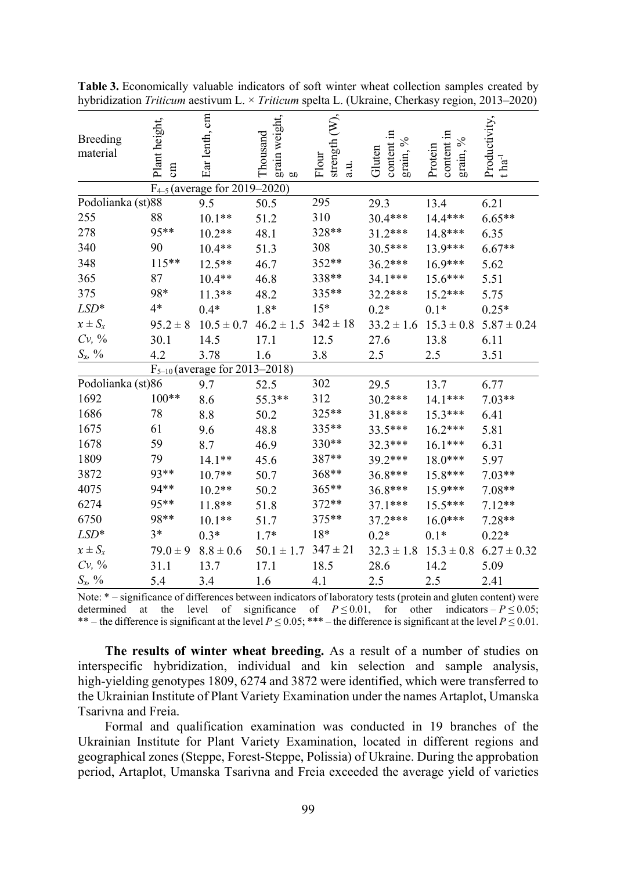| Breeding<br>material | Plant height,<br>$\sin$ | Ear lenth, cm                      | grain weight,<br>Thousand<br>g | strength (W),<br>Flour<br>a.u. | content in<br>grain, %<br>Gluten | content in<br>grain, $\%$<br>Protein | Productivity,<br>$t \ln a^{-1}$ |
|----------------------|-------------------------|------------------------------------|--------------------------------|--------------------------------|----------------------------------|--------------------------------------|---------------------------------|
|                      |                         | $F_{4-5}$ (average for 2019–2020)  |                                |                                |                                  |                                      |                                 |
| Podolianka (st)88    |                         | 9.5                                | 50.5                           | 295                            | 29.3                             | 13.4                                 | 6.21                            |
| 255                  | 88                      | $10.1**$                           | 51.2                           | 310                            | 30.4***                          | 14.4***                              | $6.65**$                        |
| 278                  | 95**                    | $10.2**$                           | 48.1                           | 328**                          | $31.2***$                        | 14.8***                              | 6.35                            |
| 340                  | 90                      | $10.4**$                           | 51.3                           | 308                            | 30.5***                          | 13.9***                              | $6.67**$                        |
| 348                  | $115**$                 | $12.5***$                          | 46.7                           | 352**                          | $36.2***$                        | $16.9***$                            | 5.62                            |
| 365                  | 87                      | $10.4**$                           | 46.8                           | 338**                          | $34.1***$                        | $15.6***$                            | 5.51                            |
| 375                  | 98*                     | $11.3**$                           | 48.2                           | 335**                          | 32.2***                          | 15.2***                              | 5.75                            |
| $LSD*$               | $4*$                    | $0.4*$                             | $1.8*$                         | $15*$                          | $0.2*$                           | $0.1*$                               | $0.25*$                         |
| $x \pm S_x$          | $95.2 \pm 8$            | $10.5 \pm 0.7$                     | $46.2 \pm 1.5$ 342 $\pm 18$    |                                | $33.2 \pm 1.6$                   | $15.3 \pm 0.8$                       | $5.87 \pm 0.24$                 |
| $Cv, \, \%$          | 30.1                    | 14.5                               | 17.1                           | 12.5                           | 27.6                             | 13.8                                 | 6.11                            |
| $S_x$ , %            | 4.2                     | 3.78                               | 1.6                            | 3.8                            | 2.5                              | 2.5                                  | 3.51                            |
|                      |                         | $F_{5-10}$ (average for 2013-2018) |                                |                                |                                  |                                      |                                 |
| Podolianka (st)86    |                         | 9.7                                | 52.5                           | 302                            | 29.5                             | 13.7                                 | 6.77                            |
| 1692                 | $100**$                 | 8.6                                | 55.3**                         | 312                            | 30.2***                          | 14.1***                              | $7.03**$                        |
| 1686                 | 78                      | 8.8                                | 50.2                           | 325**                          | $31.8***$                        | $15.3***$                            | 6.41                            |
| 1675                 | 61                      | 9.6                                | 48.8                           | 335**                          | 33.5***                          | $16.2***$                            | 5.81                            |
| 1678                 | 59                      | 8.7                                | 46.9                           | 330**                          | 32.3***                          | $16.1***$                            | 6.31                            |
| 1809                 | 79                      | $14.1**$                           | 45.6                           | 387**                          | 39.2***                          | $18.0***$                            | 5.97                            |
| 3872                 | 93**                    | $10.7**$                           | 50.7                           | 368**                          | 36.8***                          | 15.8***                              | $7.03**$                        |
| 4075                 | 94**                    | $10.2**$                           | 50.2                           | 365**                          | 36.8***                          | $15.9***$                            | $7.08**$                        |
| 6274                 | 95**                    | $11.8**$                           | 51.8                           | 372**                          | $37.1***$                        | $15.5***$                            | $7.12**$                        |
| 6750                 | 98**                    | $10.1**$                           | 51.7                           | 375**                          | $37.2***$                        | $16.0***$                            | $7.28**$                        |
| $LSD*$               | $3*$                    | $0.3*$                             | $1.7*$                         | $18*$                          | $0.2*$                           | $0.1*$                               | $0.22*$                         |
| $x \pm S_x$          | $79.0 \pm 9$            | $8.8 \pm 0.6$                      | $50.1 \pm 1.7$                 | $347 \pm 21$                   | $32.3 \pm 1.8$                   | $15.3 \pm 0.8$                       | $6.27 \pm 0.32$                 |
| $Cv, \, \%$          | 31.1                    | 13.7                               | 17.1                           | 18.5                           | 28.6                             | 14.2                                 | 5.09                            |
| $S_x$ %              | 5.4                     | 3.4                                | 1.6                            | 4.1                            | 2.5                              | 2.5                                  | 2.41                            |

Table 3. Economically valuable indicators of soft winter wheat collection samples created by hybridization Triticum aestivum L.  $\times$  Triticum spelta L. (Ukraine, Cherkasy region, 2013–2020)

Note:  $*$  – significance of differences between indicators of laboratory tests (protein and gluten content) were determined at the level of significance of  $P \le 0.01$ , for other indicators  $-P \le 0.05$ ; \*\* – the difference is significant at the level  $P \le 0.05$ ; \*\*\* – the difference is significant at the level  $P \le 0.01$ .

The results of winter wheat breeding. As a result of a number of studies on interspecific hybridization, individual and kin selection and sample analysis, high-yielding genotypes 1809, 6274 and 3872 were identified, which were transferred to the Ukrainian Institute of Plant Variety Examination under the names Artaplot, Umanska Tsarivna and Freia.

Formal and qualification examination was conducted in 19 branches of the Ukrainian Institute for Plant Variety Examination, located in different regions and geographical zones (Steppe, Forest-Steppe, Polissia) of Ukraine. During the approbation period, Artaplot, Umanska Tsarivna and Freia exceeded the average yield of varieties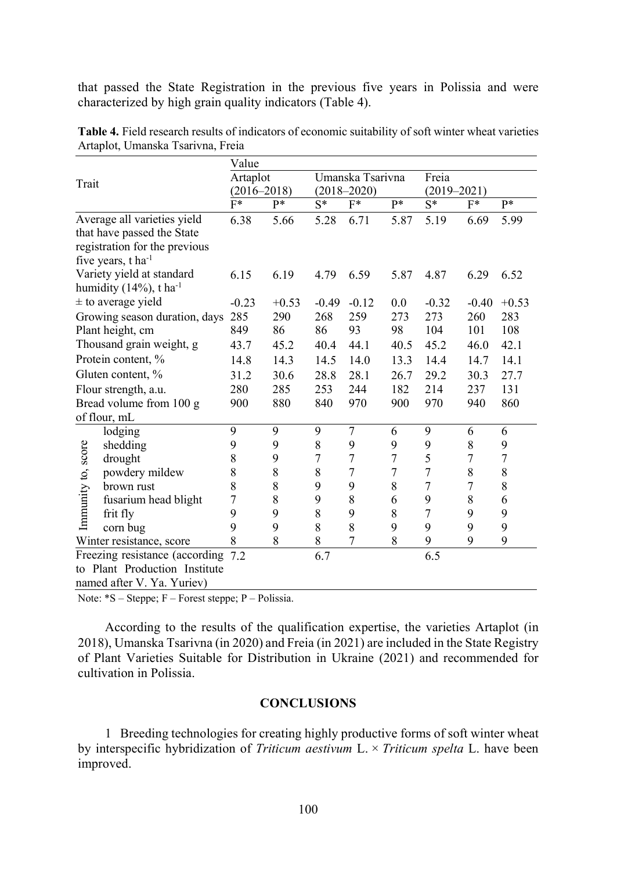that passed the State Registration in the previous five years in Polissia and were characterized by high grain quality indicators (Table 4).

|                    |                                                                     | Value           |         |         |                                     |                |                  |                  |         |  |
|--------------------|---------------------------------------------------------------------|-----------------|---------|---------|-------------------------------------|----------------|------------------|------------------|---------|--|
| Trait              |                                                                     | Artaplot        |         |         | Umanska Tsarivna<br>$(2018 - 2020)$ |                |                  |                  |         |  |
|                    |                                                                     | $(2016 - 2018)$ |         |         |                                     |                |                  | $(2019 - 2021)$  |         |  |
|                    |                                                                     | $F^*$           | p*      | $S^*$   | $F^*$                               | p*             | $S^*$            | $F^*$            | p*      |  |
|                    | Average all varieties yield                                         | 6.38            | 5.66    | 5.28    | 6.71                                | 5.87           | 5.19             | 6.69             | 5.99    |  |
|                    | that have passed the State                                          |                 |         |         |                                     |                |                  |                  |         |  |
|                    | registration for the previous                                       |                 |         |         |                                     |                |                  |                  |         |  |
|                    | five years, t ha <sup>-1</sup>                                      |                 |         |         |                                     |                |                  |                  |         |  |
|                    | Variety yield at standard<br>humidity $(14\%)$ , t ha <sup>-1</sup> | 6.15            | 6.19    | 4.79    | 6.59                                | 5.87           | 4.87             | 6.29             | 6.52    |  |
|                    | $\pm$ to average yield                                              | $-0.23$         | $+0.53$ | $-0.49$ | $-0.12$                             | 0.0            | $-0.32$          | $-0.40$          | $+0.53$ |  |
|                    | Growing season duration, days                                       | 285             | 290     | 268     | 259                                 | 273            | 273              | 260              | 283     |  |
|                    | Plant height, cm                                                    | 849             | 86      | 86      | 93                                  | 98             | 104              | 101              | 108     |  |
|                    | Thousand grain weight, g                                            | 43.7            | 45.2    | 40.4    | 44.1                                | 40.5           | 45.2             | 46.0             | 42.1    |  |
|                    | Protein content, %                                                  | 14.8            | 14.3    | 14.5    | 14.0                                | 13.3           | 14.4             | 14.7             | 14.1    |  |
|                    | Gluten content, %                                                   | 31.2            | 30.6    | 28.8    | 28.1                                | 26.7           | 29.2             | 30.3             | 27.7    |  |
|                    | Flour strength, a.u.                                                | 280             | 285     | 253     | 244                                 | 182            | 214              | 237              | 131     |  |
|                    | Bread volume from 100 g                                             | 900             | 880     | 840     | 970                                 | 900            | 970              | 940              | 860     |  |
|                    | of flour, mL                                                        |                 |         |         |                                     |                |                  |                  |         |  |
|                    | lodging                                                             | 9               | 9       | 9       | 7                                   | 6              | 9                | 6                | 6       |  |
|                    | shedding                                                            | 9               | 9       | 8       | 9                                   | 9              | 9                | 8                | 9       |  |
| Immunity to, score | drought                                                             | 8               | 9       | 7       | 7                                   | $\overline{7}$ | 5                | $\overline{7}$   | 7       |  |
|                    | powdery mildew                                                      | 8               | 8       | 8       | $\overline{7}$                      | $\overline{7}$ | $\boldsymbol{7}$ | $\,$ $\,$        | 8       |  |
|                    | brown rust                                                          | 8               | 8       | 9       | 9                                   | 8              | $\boldsymbol{7}$ | $\boldsymbol{7}$ | 8       |  |
|                    | fusarium head blight                                                | 7               | 8       | 9       | 8                                   | 6              | 9                | $8\,$            | 6       |  |
|                    | frit fly                                                            | 9               | 9       | 8       | 9                                   | 8              | $\overline{7}$   | 9                | 9       |  |
|                    | corn bug                                                            | 9               | 9       | 8       | 8                                   | 9              | 9                | 9                | 9       |  |
|                    | Winter resistance, score                                            | 8               | 8       | 8       | 7                                   | 8              | 9                | 9                | 9       |  |
|                    | Freezing resistance (according 7.2)                                 |                 |         | 6.7     |                                     |                | 6.5              |                  |         |  |
|                    | to Plant Production Institute                                       |                 |         |         |                                     |                |                  |                  |         |  |
|                    | named after V. Ya. Yuriev)                                          |                 |         |         |                                     |                |                  |                  |         |  |

Table 4. Field research results of indicators of economic suitability of soft winter wheat varieties Artaplot, Umanska Tsarivna, Freia

Note:  $*S$  – Steppe;  $F$  – Forest steppe;  $P$  – Polissia.

According to the results of the qualification expertise, the varieties Artaplot (in 2018), Umanska Tsarivna (in 2020) and Freia (in 2021) are included in the State Registry of Plant Varieties Suitable for Distribution in Ukraine (2021) and recommended for cultivation in Polissia.

## **CONCLUSIONS**

1 Breeding technologies for creating highly productive forms of soft winter wheat by interspecific hybridization of Triticum aestivum L.  $\times$  Triticum spelta L. have been improved.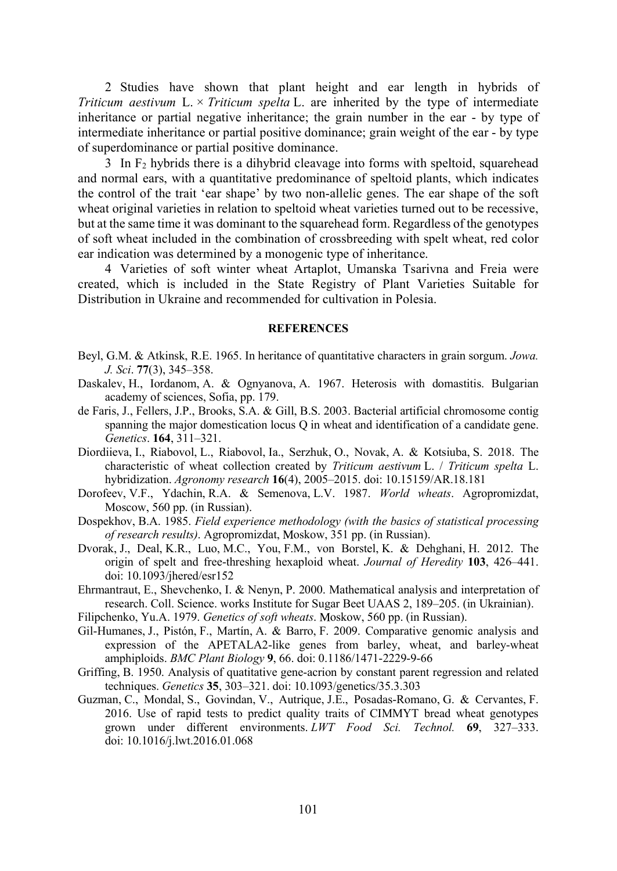2 Studies have shown that plant height and ear length in hybrids of Triticum aestivum L.  $\times$  Triticum spelta L. are inherited by the type of intermediate inheritance or partial negative inheritance; the grain number in the ear - by type of intermediate inheritance or partial positive dominance; grain weight of the ear - by type of superdominance or partial positive dominance.

 $3 \text{ In } F_2$  hybrids there is a dihybrid cleavage into forms with speltoid, squarehead and normal ears, with a quantitative predominance of speltoid plants, which indicates the control of the trait 'ear shape' by two non-allelic genes. The ear shape of the soft wheat original varieties in relation to speltoid wheat varieties turned out to be recessive, but at the same time it was dominant to the squarehead form. Regardless of the genotypes of soft wheat included in the combination of crossbreeding with spelt wheat, red color ear indication was determined by a monogenic type of inheritance.

4 Varieties of soft winter wheat Artaplot, Umanska Tsarivna and Freia were created, which is included in the State Registry of Plant Varieties Suitable for Distribution in Ukraine and recommended for cultivation in Polesia.

#### **REFERENCES**

- Beyl, G.M. & Atkinsk, R.E. 1965. In heritance of quantitative characters in grain sorgum. Jowa. J. Sci. 77(3), 345–358.
- Daskalev, H., Iordanom, A. & Ognyanova, A. 1967. Heterosis with domastitis. Bulgarian academy of sciences, Sofia, pp. 179.
- de Faris, J., Fellers, J.P., Brooks, S.A. & Gill, B.S. 2003. Bacterial artificial chromosome contig spanning the major domestication locus Q in wheat and identification of a candidate gene. Genetics. **164.** 311–321.
- Diordiieva, I., Riabovol, L., Riabovol, Ia., Serzhuk, O., Novak, A. & Kotsiuba, S. 2018. The characteristic of wheat collection created by Triticum aestivum L. / Triticum spelta L. hybridization. Agronomy research 16(4), 2005-2015. doi: 10.15159/AR.18.181
- Dorofeev, V.F., Ydachin, R.A. & Semenova, L.V. 1987. World wheats. Agropromizdat, Moscow, 560 pp. (in Russian).
- Dospekhov, B.A. 1985. Field experience methodology (with the basics of statistical processing of research results). Agropromizdat, Moskow, 351 pp. (in Russian).
- Dvorak, J., Deal, K.R., Luo, M.C., You, F.M., von Borstel, K. & Dehghani, H. 2012. The origin of spelt and free-threshing hexaploid wheat. Journal of Heredity 103, 426-441. doi: 10.1093/jhered/esr152
- Ehrmantraut, E., Shevchenko, I. & Nenyn, P. 2000. Mathematical analysis and interpretation of research. Coll. Science. works Institute for Sugar Beet UAAS 2, 189–205. (in Ukrainian).
- Filipchenko, Yu.A. 1979. Genetics of soft wheats. Moskow, 560 pp. (in Russian).
- Gil-Humanes, J., Pistón, F., Martín, A. & Barro, F. 2009. Comparative genomic analysis and expression of the APETALA2-like genes from barley, wheat, and barley-wheat amphiploids. BMC Plant Biology 9, 66. doi: 0.1186/1471-2229-9-66
- Griffing, B. 1950. Analysis of quatitative gene-acrion by constant parent regression and related techniques. Genetics 35, 303-321. doi: 10.1093/genetics/35.3.303
- Guzman, C., Mondal, S., Govindan, V., Autrique, J.E., Posadas-Romano, G. & Cervantes, F. 2016. Use of rapid tests to predict quality traits of CIMMYT bread wheat genotypes grown under different environments. LWT Food Sci. Technol. 69, 327-333. doi: 10.1016/j.lwt.2016.01.068